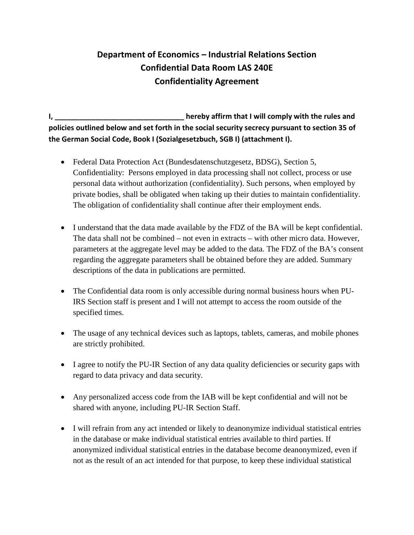## **Department of Economics – Industrial Relations Section Confidential Data Room LAS 240E Confidentiality Agreement**

**I, \_\_\_\_\_\_\_\_\_\_\_\_\_\_\_\_\_\_\_\_\_\_\_\_\_\_\_\_\_\_\_\_ hereby affirm that I will comply with the rules and policies outlined below and set forth in the social security secrecy pursuant to section 35 of the German Social Code, Book I (Sozialgesetzbuch, SGB I) (attachment I).**

- Federal Data Protection Act (Bundesdatenschutzgesetz, BDSG), Section 5, Confidentiality: Persons employed in data processing shall not collect, process or use personal data without authorization (confidentiality). Such persons, when employed by private bodies, shall be obligated when taking up their duties to maintain confidentiality. The obligation of confidentiality shall continue after their employment ends.
- I understand that the data made available by the FDZ of the BA will be kept confidential. The data shall not be combined – not even in extracts – with other micro data. However, parameters at the aggregate level may be added to the data. The FDZ of the BA's consent regarding the aggregate parameters shall be obtained before they are added. Summary descriptions of the data in publications are permitted.
- The Confidential data room is only accessible during normal business hours when PU-IRS Section staff is present and I will not attempt to access the room outside of the specified times.
- The usage of any technical devices such as laptops, tablets, cameras, and mobile phones are strictly prohibited.
- I agree to notify the PU-IR Section of any data quality deficiencies or security gaps with regard to data privacy and data security.
- Any personalized access code from the IAB will be kept confidential and will not be shared with anyone, including PU-IR Section Staff.
- I will refrain from any act intended or likely to deanonymize individual statistical entries in the database or make individual statistical entries available to third parties. If anonymized individual statistical entries in the database become deanonymized, even if not as the result of an act intended for that purpose, to keep these individual statistical